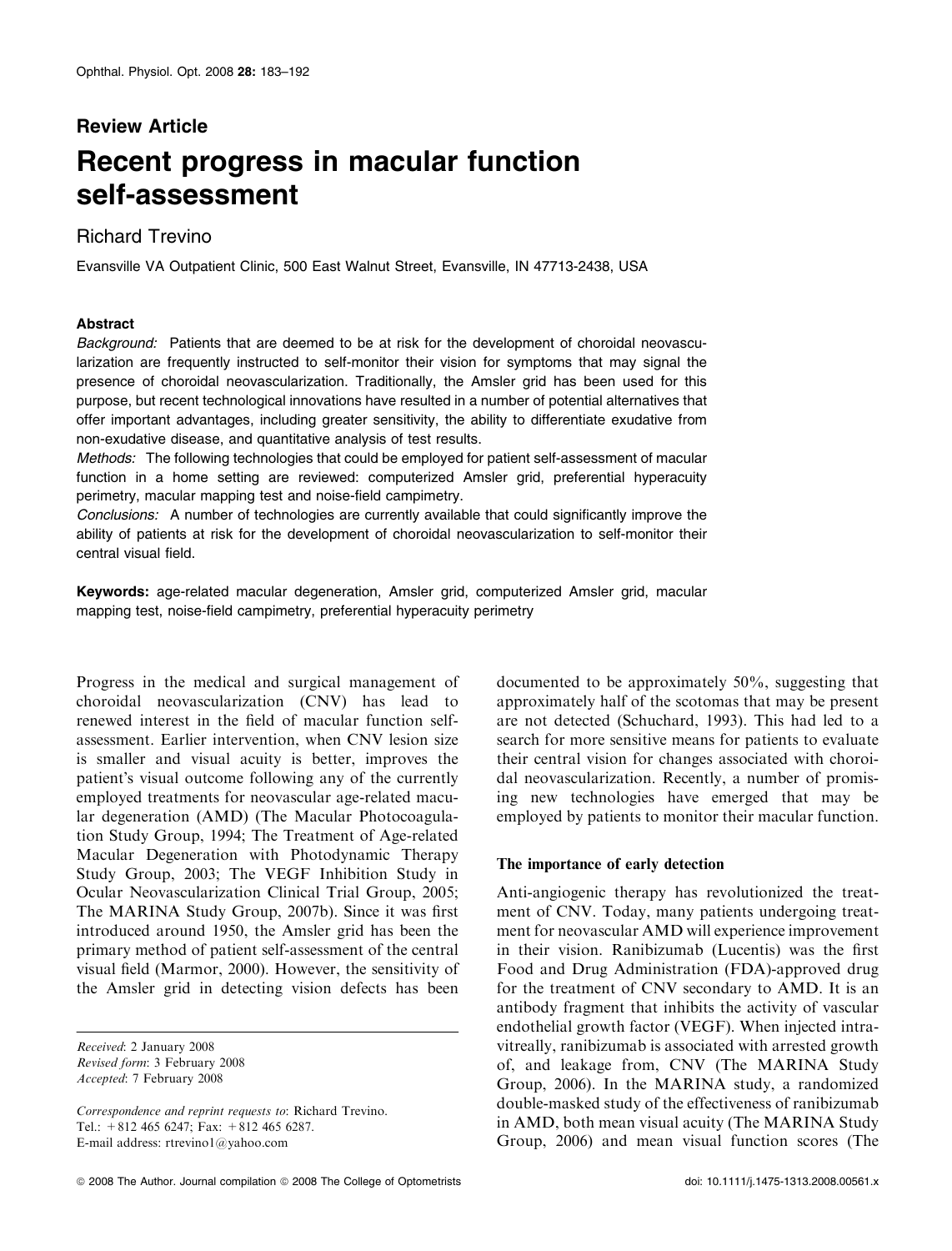# Review Article Recent progress in macular function self-assessment

## Richard Trevino

Evansville VA Outpatient Clinic, 500 East Walnut Street, Evansville, IN 47713-2438, USA

## Abstract

Background: Patients that are deemed to be at risk for the development of choroidal neovascularization are frequently instructed to self-monitor their vision for symptoms that may signal the presence of choroidal neovascularization. Traditionally, the Amsler grid has been used for this purpose, but recent technological innovations have resulted in a number of potential alternatives that offer important advantages, including greater sensitivity, the ability to differentiate exudative from non-exudative disease, and quantitative analysis of test results.

Methods: The following technologies that could be employed for patient self-assessment of macular function in a home setting are reviewed: computerized Amsler grid, preferential hyperacuity perimetry, macular mapping test and noise-field campimetry.

Conclusions: A number of technologies are currently available that could significantly improve the ability of patients at risk for the development of choroidal neovascularization to self-monitor their central visual field.

Keywords: age-related macular degeneration, Amsler grid, computerized Amsler grid, macular mapping test, noise-field campimetry, preferential hyperacuity perimetry

Progress in the medical and surgical management of choroidal neovascularization (CNV) has lead to renewed interest in the field of macular function selfassessment. Earlier intervention, when CNV lesion size is smaller and visual acuity is better, improves the patient's visual outcome following any of the currently employed treatments for neovascular age-related macular degeneration (AMD) (The Macular Photocoagulation Study Group, 1994; The Treatment of Age-related Macular Degeneration with Photodynamic Therapy Study Group, 2003; The VEGF Inhibition Study in Ocular Neovascularization Clinical Trial Group, 2005; The MARINA Study Group, 2007b). Since it was first introduced around 1950, the Amsler grid has been the primary method of patient self-assessment of the central visual field (Marmor, 2000). However, the sensitivity of the Amsler grid in detecting vision defects has been

Received: 2 January 2008 Revised form: 3 February 2008 Accepted: 7 February 2008

Correspondence and reprint requests to: Richard Trevino. Tel.: +812 465 6247; Fax: +812 465 6287. E-mail address: rtrevino1@yahoo.com

documented to be approximately 50%, suggesting that approximately half of the scotomas that may be present are not detected (Schuchard, 1993). This had led to a search for more sensitive means for patients to evaluate their central vision for changes associated with choroidal neovascularization. Recently, a number of promising new technologies have emerged that may be employed by patients to monitor their macular function.

## The importance of early detection

Anti-angiogenic therapy has revolutionized the treatment of CNV. Today, many patients undergoing treatment for neovascular AMD will experience improvement in their vision. Ranibizumab (Lucentis) was the first Food and Drug Administration (FDA)-approved drug for the treatment of CNV secondary to AMD. It is an antibody fragment that inhibits the activity of vascular endothelial growth factor (VEGF). When injected intravitreally, ranibizumab is associated with arrested growth of, and leakage from, CNV (The MARINA Study Group, 2006). In the MARINA study, a randomized double-masked study of the effectiveness of ranibizumab in AMD, both mean visual acuity (The MARINA Study Group, 2006) and mean visual function scores (The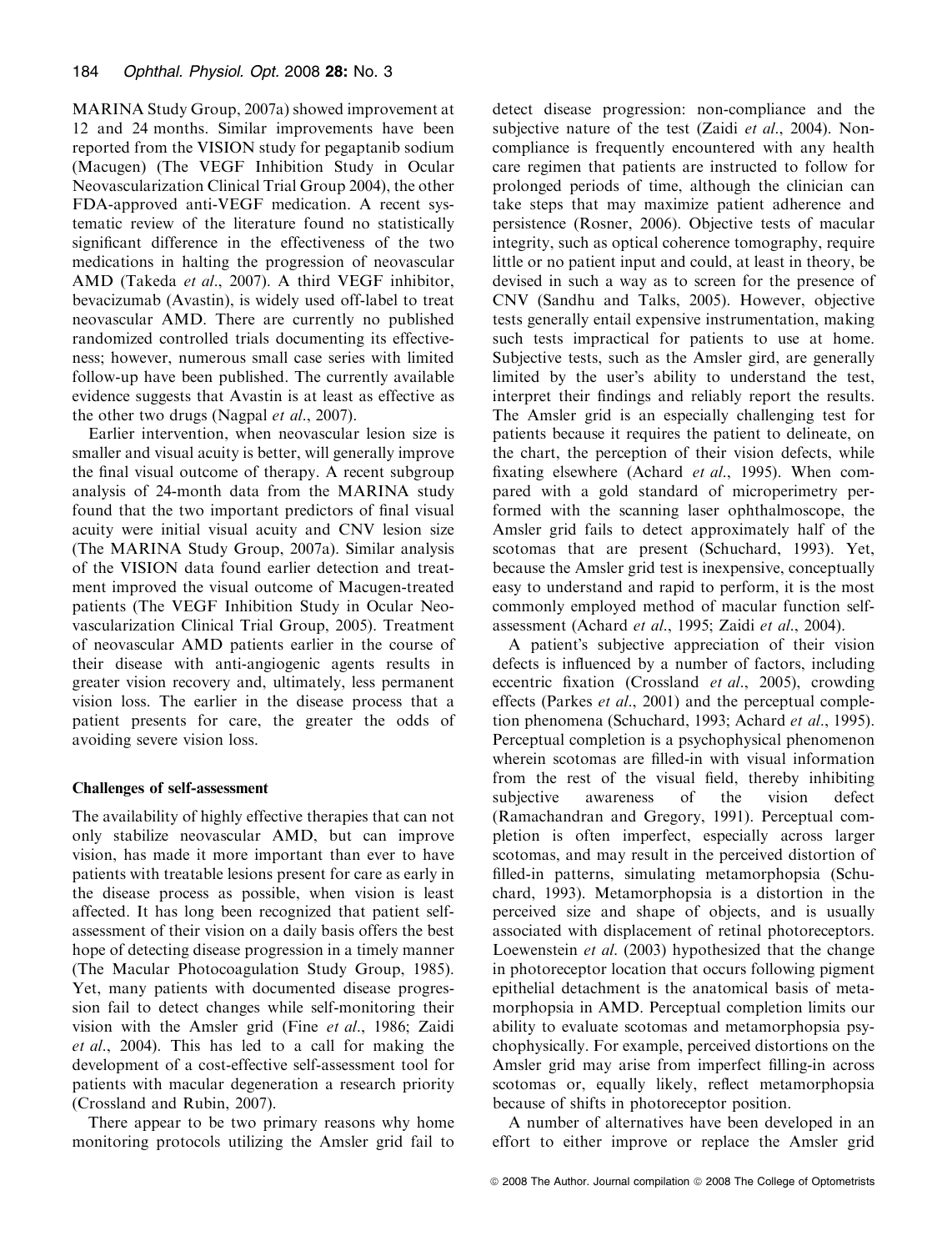MARINA Study Group, 2007a) showed improvement at 12 and 24 months. Similar improvements have been reported from the VISION study for pegaptanib sodium (Macugen) (The VEGF Inhibition Study in Ocular Neovascularization Clinical Trial Group 2004), the other FDA-approved anti-VEGF medication. A recent systematic review of the literature found no statistically significant difference in the effectiveness of the two medications in halting the progression of neovascular AMD (Takeda et al., 2007). A third VEGF inhibitor, bevacizumab (Avastin), is widely used off-label to treat neovascular AMD. There are currently no published randomized controlled trials documenting its effectiveness; however, numerous small case series with limited follow-up have been published. The currently available evidence suggests that Avastin is at least as effective as the other two drugs (Nagpal et al., 2007).

Earlier intervention, when neovascular lesion size is smaller and visual acuity is better, will generally improve the final visual outcome of therapy. A recent subgroup analysis of 24-month data from the MARINA study found that the two important predictors of final visual acuity were initial visual acuity and CNV lesion size (The MARINA Study Group, 2007a). Similar analysis of the VISION data found earlier detection and treatment improved the visual outcome of Macugen-treated patients (The VEGF Inhibition Study in Ocular Neovascularization Clinical Trial Group, 2005). Treatment of neovascular AMD patients earlier in the course of their disease with anti-angiogenic agents results in greater vision recovery and, ultimately, less permanent vision loss. The earlier in the disease process that a patient presents for care, the greater the odds of avoiding severe vision loss.

## Challenges of self-assessment

The availability of highly effective therapies that can not only stabilize neovascular AMD, but can improve vision, has made it more important than ever to have patients with treatable lesions present for care as early in the disease process as possible, when vision is least affected. It has long been recognized that patient selfassessment of their vision on a daily basis offers the best hope of detecting disease progression in a timely manner (The Macular Photocoagulation Study Group, 1985). Yet, many patients with documented disease progression fail to detect changes while self-monitoring their vision with the Amsler grid (Fine et al., 1986; Zaidi et al., 2004). This has led to a call for making the development of a cost-effective self-assessment tool for patients with macular degeneration a research priority (Crossland and Rubin, 2007).

There appear to be two primary reasons why home monitoring protocols utilizing the Amsler grid fail to detect disease progression: non-compliance and the subjective nature of the test (Zaidi et al., 2004). Noncompliance is frequently encountered with any health care regimen that patients are instructed to follow for prolonged periods of time, although the clinician can take steps that may maximize patient adherence and persistence (Rosner, 2006). Objective tests of macular integrity, such as optical coherence tomography, require little or no patient input and could, at least in theory, be devised in such a way as to screen for the presence of CNV (Sandhu and Talks, 2005). However, objective tests generally entail expensive instrumentation, making such tests impractical for patients to use at home. Subjective tests, such as the Amsler gird, are generally limited by the user's ability to understand the test, interpret their findings and reliably report the results. The Amsler grid is an especially challenging test for patients because it requires the patient to delineate, on the chart, the perception of their vision defects, while fixating elsewhere (Achard et al., 1995). When compared with a gold standard of microperimetry performed with the scanning laser ophthalmoscope, the Amsler grid fails to detect approximately half of the scotomas that are present (Schuchard, 1993). Yet, because the Amsler grid test is inexpensive, conceptually easy to understand and rapid to perform, it is the most commonly employed method of macular function selfassessment (Achard et al., 1995; Zaidi et al., 2004).

A patient's subjective appreciation of their vision defects is influenced by a number of factors, including eccentric fixation (Crossland et al., 2005), crowding effects (Parkes et al., 2001) and the perceptual completion phenomena (Schuchard, 1993; Achard et al., 1995). Perceptual completion is a psychophysical phenomenon wherein scotomas are filled-in with visual information from the rest of the visual field, thereby inhibiting subjective awareness of the vision defect (Ramachandran and Gregory, 1991). Perceptual completion is often imperfect, especially across larger scotomas, and may result in the perceived distortion of filled-in patterns, simulating metamorphopsia (Schuchard, 1993). Metamorphopsia is a distortion in the perceived size and shape of objects, and is usually associated with displacement of retinal photoreceptors. Loewenstein *et al.* (2003) hypothesized that the change in photoreceptor location that occurs following pigment epithelial detachment is the anatomical basis of metamorphopsia in AMD. Perceptual completion limits our ability to evaluate scotomas and metamorphopsia psychophysically. For example, perceived distortions on the Amsler grid may arise from imperfect filling-in across scotomas or, equally likely, reflect metamorphopsia because of shifts in photoreceptor position.

A number of alternatives have been developed in an effort to either improve or replace the Amsler grid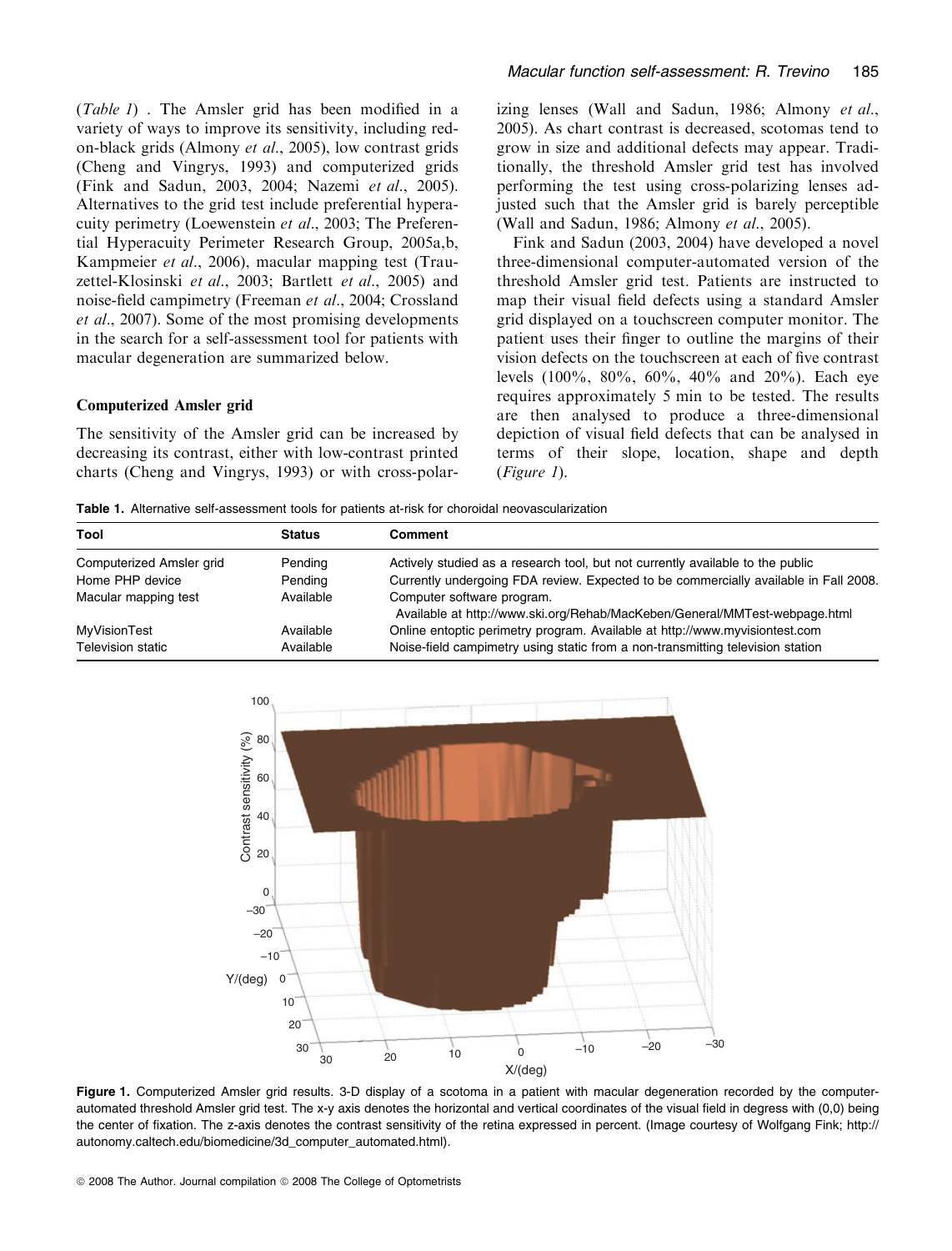(Table 1) . The Amsler grid has been modified in a variety of ways to improve its sensitivity, including redon-black grids (Almony et al., 2005), low contrast grids (Cheng and Vingrys, 1993) and computerized grids (Fink and Sadun, 2003, 2004; Nazemi et al., 2005). Alternatives to the grid test include preferential hyperacuity perimetry (Loewenstein et al., 2003; The Preferential Hyperacuity Perimeter Research Group, 2005a,b, Kampmeier et al., 2006), macular mapping test (Trauzettel-Klosinski et al., 2003; Bartlett et al., 2005) and noise-field campimetry (Freeman et al., 2004; Crossland et al., 2007). Some of the most promising developments in the search for a self-assessment tool for patients with macular degeneration are summarized below.

#### Computerized Amsler grid

The sensitivity of the Amsler grid can be increased by decreasing its contrast, either with low-contrast printed charts (Cheng and Vingrys, 1993) or with cross-polarizing lenses (Wall and Sadun, 1986; Almony et al., 2005). As chart contrast is decreased, scotomas tend to grow in size and additional defects may appear. Traditionally, the threshold Amsler grid test has involved performing the test using cross-polarizing lenses adjusted such that the Amsler grid is barely perceptible (Wall and Sadun, 1986; Almony et al., 2005).

Fink and Sadun (2003, 2004) have developed a novel three-dimensional computer-automated version of the threshold Amsler grid test. Patients are instructed to map their visual field defects using a standard Amsler grid displayed on a touchscreen computer monitor. The patient uses their finger to outline the margins of their vision defects on the touchscreen at each of five contrast levels (100%, 80%, 60%, 40% and 20%). Each eye requires approximately 5 min to be tested. The results are then analysed to produce a three-dimensional depiction of visual field defects that can be analysed in terms of their slope, location, shape and depth (Figure 1).

Table 1. Alternative self-assessment tools for patients at-risk for choroidal neovascularization

| Tool                     | <b>Status</b> | <b>Comment</b>                                                                                           |
|--------------------------|---------------|----------------------------------------------------------------------------------------------------------|
| Computerized Amsler grid | Pending       | Actively studied as a research tool, but not currently available to the public                           |
| Home PHP device          | Pending       | Currently undergoing FDA review. Expected to be commercially available in Fall 2008.                     |
| Macular mapping test     | Available     | Computer software program.<br>Available at http://www.ski.org/Rehab/MacKeben/General/MMTest-webpage.html |
| MyVisionTest             | Available     | Online entoptic perimetry program. Available at http://www.myvisiontest.com                              |
| Television static        | Available     | Noise-field campimetry using static from a non-transmitting television station                           |



Figure 1. Computerized Amsler grid results. 3-D display of a scotoma in a patient with macular degeneration recorded by the computerautomated threshold Amsler grid test. The x-y axis denotes the horizontal and vertical coordinates of the visual field in degress with (0,0) being the center of fixation. The z-axis denotes the contrast sensitivity of the retina expressed in percent. (Image courtesy of Wolfgang Fink; http:// autonomy.caltech.edu/biomedicine/3d\_computer\_automated.html).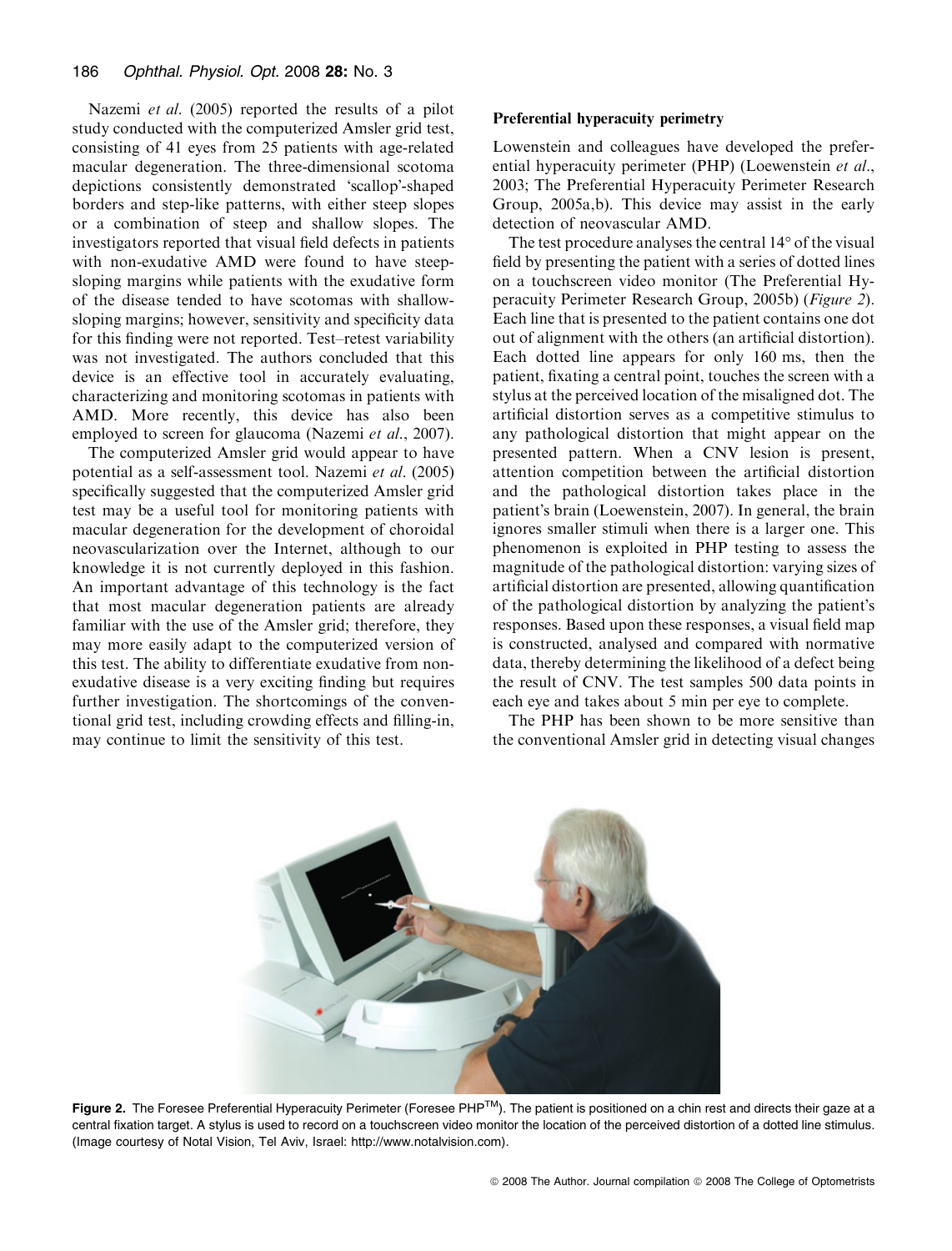Nazemi et al. (2005) reported the results of a pilot study conducted with the computerized Amsler grid test, consisting of 41 eyes from 25 patients with age-related macular degeneration. The three-dimensional scotoma depictions consistently demonstrated 'scallop'-shaped borders and step-like patterns, with either steep slopes or a combination of steep and shallow slopes. The investigators reported that visual field defects in patients with non-exudative AMD were found to have steepsloping margins while patients with the exudative form of the disease tended to have scotomas with shallowsloping margins; however, sensitivity and specificity data for this finding were not reported. Test–retest variability was not investigated. The authors concluded that this device is an effective tool in accurately evaluating, characterizing and monitoring scotomas in patients with AMD. More recently, this device has also been employed to screen for glaucoma (Nazemi et al., 2007).

The computerized Amsler grid would appear to have potential as a self-assessment tool. Nazemi et al. (2005) specifically suggested that the computerized Amsler grid test may be a useful tool for monitoring patients with macular degeneration for the development of choroidal neovascularization over the Internet, although to our knowledge it is not currently deployed in this fashion. An important advantage of this technology is the fact that most macular degeneration patients are already familiar with the use of the Amsler grid; therefore, they may more easily adapt to the computerized version of this test. The ability to differentiate exudative from nonexudative disease is a very exciting finding but requires further investigation. The shortcomings of the conventional grid test, including crowding effects and filling-in, may continue to limit the sensitivity of this test.

## Preferential hyperacuity perimetry

Lowenstein and colleagues have developed the preferential hyperacuity perimeter (PHP) (Loewenstein et al., 2003; The Preferential Hyperacuity Perimeter Research Group, 2005a,b). This device may assist in the early detection of neovascular AMD.

The test procedure analyses the central  $14^{\circ}$  of the visual field by presenting the patient with a series of dotted lines on a touchscreen video monitor (The Preferential Hyperacuity Perimeter Research Group, 2005b) (Figure 2). Each line that is presented to the patient contains one dot out of alignment with the others (an artificial distortion). Each dotted line appears for only 160 ms, then the patient, fixating a central point, touches the screen with a stylus at the perceived location of the misaligned dot. The artificial distortion serves as a competitive stimulus to any pathological distortion that might appear on the presented pattern. When a CNV lesion is present, attention competition between the artificial distortion and the pathological distortion takes place in the patient's brain (Loewenstein, 2007). In general, the brain ignores smaller stimuli when there is a larger one. This phenomenon is exploited in PHP testing to assess the magnitude of the pathological distortion: varying sizes of artificial distortion are presented, allowing quantification of the pathological distortion by analyzing the patient's responses. Based upon these responses, a visual field map is constructed, analysed and compared with normative data, thereby determining the likelihood of a defect being the result of CNV. The test samples 500 data points in each eye and takes about 5 min per eye to complete.

The PHP has been shown to be more sensitive than the conventional Amsler grid in detecting visual changes



Figure 2. The Foresee Preferential Hyperacuity Perimeter (Foresee PHP<sup>TM</sup>). The patient is positioned on a chin rest and directs their gaze at a central fixation target. A stylus is used to record on a touchscreen video monitor the location of the perceived distortion of a dotted line stimulus. (Image courtesy of Notal Vision, Tel Aviv, Israel: http://www.notalvision.com).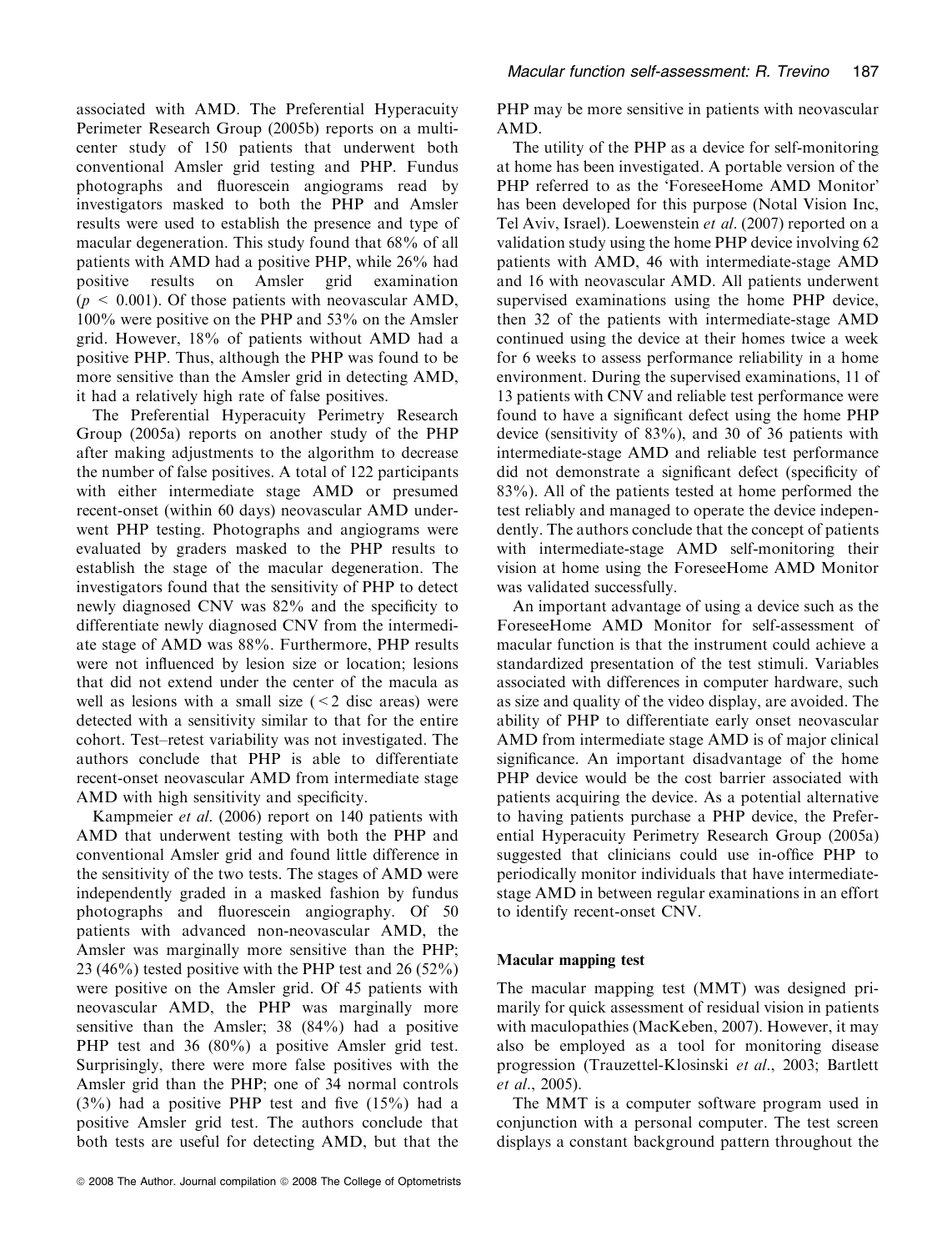associated with AMD. The Preferential Hyperacuity Perimeter Research Group (2005b) reports on a multicenter study of 150 patients that underwent both conventional Amsler grid testing and PHP. Fundus photographs and fluorescein angiograms read by investigators masked to both the PHP and Amsler results were used to establish the presence and type of macular degeneration. This study found that 68% of all patients with AMD had a positive PHP, while 26% had positive results on Amsler grid examination  $(p \leq 0.001)$ . Of those patients with neovascular AMD, 100% were positive on the PHP and 53% on the Amsler grid. However, 18% of patients without AMD had a positive PHP. Thus, although the PHP was found to be more sensitive than the Amsler grid in detecting AMD, it had a relatively high rate of false positives.

The Preferential Hyperacuity Perimetry Research Group (2005a) reports on another study of the PHP after making adjustments to the algorithm to decrease the number of false positives. A total of 122 participants with either intermediate stage AMD or presumed recent-onset (within 60 days) neovascular AMD underwent PHP testing. Photographs and angiograms were evaluated by graders masked to the PHP results to establish the stage of the macular degeneration. The investigators found that the sensitivity of PHP to detect newly diagnosed CNV was 82% and the specificity to differentiate newly diagnosed CNV from the intermediate stage of AMD was 88%. Furthermore, PHP results were not influenced by lesion size or location; lesions that did not extend under the center of the macula as well as lesions with a small size  $(< 2$  disc areas) were detected with a sensitivity similar to that for the entire cohort. Test–retest variability was not investigated. The authors conclude that PHP is able to differentiate recent-onset neovascular AMD from intermediate stage AMD with high sensitivity and specificity.

Kampmeier et al. (2006) report on 140 patients with AMD that underwent testing with both the PHP and conventional Amsler grid and found little difference in the sensitivity of the two tests. The stages of AMD were independently graded in a masked fashion by fundus photographs and fluorescein angiography. Of 50 patients with advanced non-neovascular AMD, the Amsler was marginally more sensitive than the PHP; 23 (46%) tested positive with the PHP test and 26 (52%) were positive on the Amsler grid. Of 45 patients with neovascular AMD, the PHP was marginally more sensitive than the Amsler; 38 (84%) had a positive PHP test and 36 (80%) a positive Amsler grid test. Surprisingly, there were more false positives with the Amsler grid than the PHP; one of 34 normal controls  $(3\%)$  had a positive PHP test and five  $(15\%)$  had a positive Amsler grid test. The authors conclude that both tests are useful for detecting AMD, but that the PHP may be more sensitive in patients with neovascular AMD.

The utility of the PHP as a device for self-monitoring at home has been investigated. A portable version of the PHP referred to as the 'ForeseeHome AMD Monitor' has been developed for this purpose (Notal Vision Inc, Tel Aviv, Israel). Loewenstein et al. (2007) reported on a validation study using the home PHP device involving 62 patients with AMD, 46 with intermediate-stage AMD and 16 with neovascular AMD. All patients underwent supervised examinations using the home PHP device, then 32 of the patients with intermediate-stage AMD continued using the device at their homes twice a week for 6 weeks to assess performance reliability in a home environment. During the supervised examinations, 11 of 13 patients with CNV and reliable test performance were found to have a significant defect using the home PHP device (sensitivity of 83%), and 30 of 36 patients with intermediate-stage AMD and reliable test performance did not demonstrate a significant defect (specificity of 83%). All of the patients tested at home performed the test reliably and managed to operate the device independently. The authors conclude that the concept of patients with intermediate-stage AMD self-monitoring their vision at home using the ForeseeHome AMD Monitor was validated successfully.

An important advantage of using a device such as the ForeseeHome AMD Monitor for self-assessment of macular function is that the instrument could achieve a standardized presentation of the test stimuli. Variables associated with differences in computer hardware, such as size and quality of the video display, are avoided. The ability of PHP to differentiate early onset neovascular AMD from intermediate stage AMD is of major clinical significance. An important disadvantage of the home PHP device would be the cost barrier associated with patients acquiring the device. As a potential alternative to having patients purchase a PHP device, the Preferential Hyperacuity Perimetry Research Group (2005a) suggested that clinicians could use in-office PHP to periodically monitor individuals that have intermediatestage AMD in between regular examinations in an effort to identify recent-onset CNV.

## Macular mapping test

The macular mapping test (MMT) was designed primarily for quick assessment of residual vision in patients with maculopathies (MacKeben, 2007). However, it may also be employed as a tool for monitoring disease progression (Trauzettel-Klosinski et al., 2003; Bartlett et al., 2005).

The MMT is a computer software program used in conjunction with a personal computer. The test screen displays a constant background pattern throughout the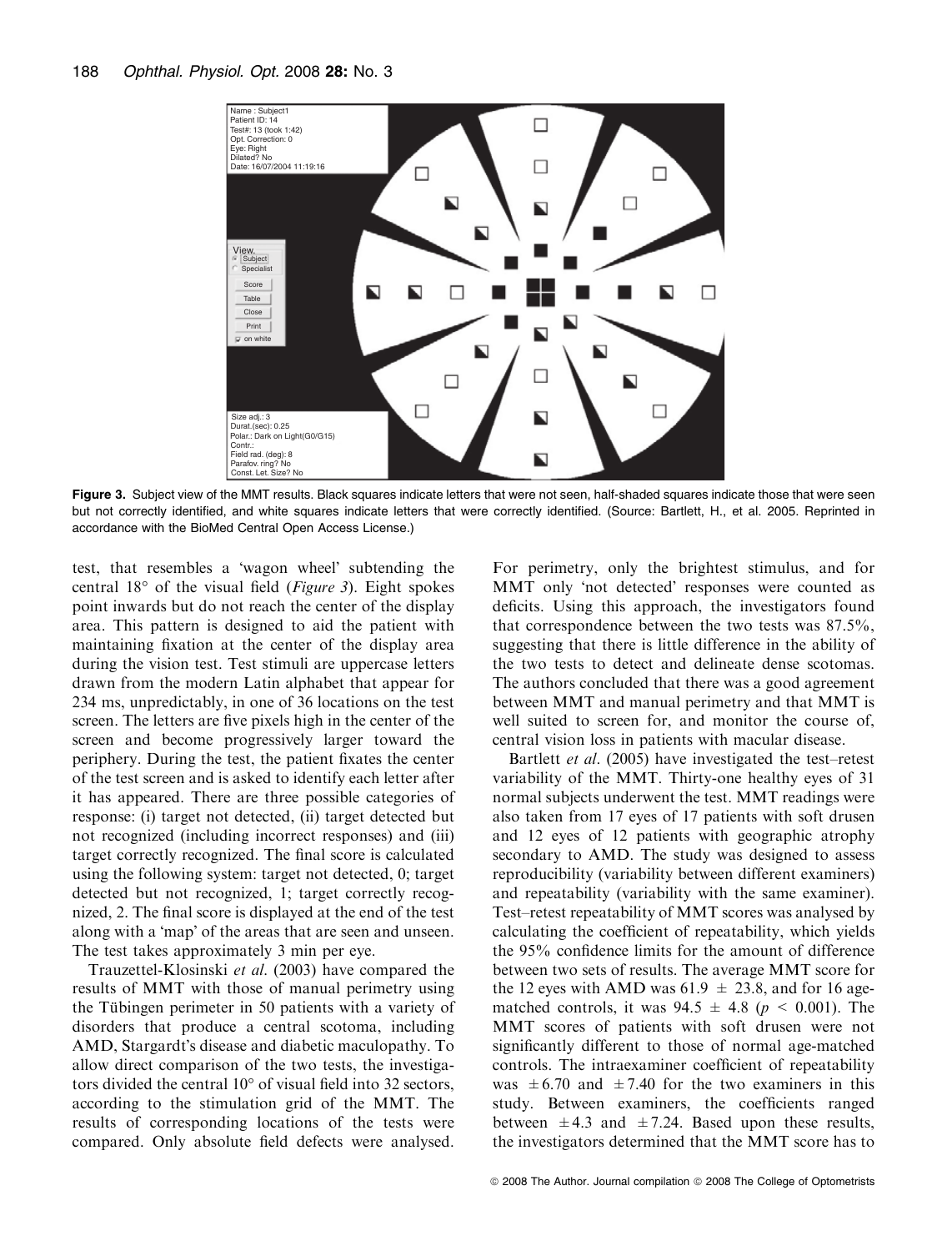

Figure 3. Subject view of the MMT results. Black squares indicate letters that were not seen, half-shaded squares indicate those that were seen but not correctly identified, and white squares indicate letters that were correctly identified. (Source: Bartlett, H., et al. 2005. Reprinted in accordance with the BioMed Central Open Access License.)

test, that resembles a 'wagon wheel' subtending the central  $18^{\circ}$  of the visual field (*Figure 3*). Eight spokes point inwards but do not reach the center of the display area. This pattern is designed to aid the patient with maintaining fixation at the center of the display area during the vision test. Test stimuli are uppercase letters drawn from the modern Latin alphabet that appear for 234 ms, unpredictably, in one of 36 locations on the test screen. The letters are five pixels high in the center of the screen and become progressively larger toward the periphery. During the test, the patient fixates the center of the test screen and is asked to identify each letter after it has appeared. There are three possible categories of response: (i) target not detected, (ii) target detected but not recognized (including incorrect responses) and (iii) target correctly recognized. The final score is calculated using the following system: target not detected, 0; target detected but not recognized, 1; target correctly recognized, 2. The final score is displayed at the end of the test along with a 'map' of the areas that are seen and unseen. The test takes approximately 3 min per eye.

Trauzettel-Klosinski et al. (2003) have compared the results of MMT with those of manual perimetry using the Tübingen perimeter in 50 patients with a variety of disorders that produce a central scotoma, including AMD, Stargardt's disease and diabetic maculopathy. To allow direct comparison of the two tests, the investigators divided the central  $10^{\circ}$  of visual field into 32 sectors, according to the stimulation grid of the MMT. The results of corresponding locations of the tests were compared. Only absolute field defects were analysed. For perimetry, only the brightest stimulus, and for MMT only 'not detected' responses were counted as deficits. Using this approach, the investigators found that correspondence between the two tests was 87.5%, suggesting that there is little difference in the ability of the two tests to detect and delineate dense scotomas. The authors concluded that there was a good agreement between MMT and manual perimetry and that MMT is well suited to screen for, and monitor the course of, central vision loss in patients with macular disease.

Bartlett *et al.* (2005) have investigated the test–retest variability of the MMT. Thirty-one healthy eyes of 31 normal subjects underwent the test. MMT readings were also taken from 17 eyes of 17 patients with soft drusen and 12 eyes of 12 patients with geographic atrophy secondary to AMD. The study was designed to assess reproducibility (variability between different examiners) and repeatability (variability with the same examiner). Test–retest repeatability of MMT scores was analysed by calculating the coefficient of repeatability, which yields the 95% confidence limits for the amount of difference between two sets of results. The average MMT score for the 12 eyes with AMD was 61.9  $\pm$  23.8, and for 16 agematched controls, it was  $94.5 \pm 4.8$  ( $p \le 0.001$ ). The MMT scores of patients with soft drusen were not significantly different to those of normal age-matched controls. The intraexaminer coefficient of repeatability was  $\pm 6.70$  and  $\pm 7.40$  for the two examiners in this study. Between examiners, the coefficients ranged between  $\pm 4.3$  and  $\pm 7.24$ . Based upon these results, the investigators determined that the MMT score has to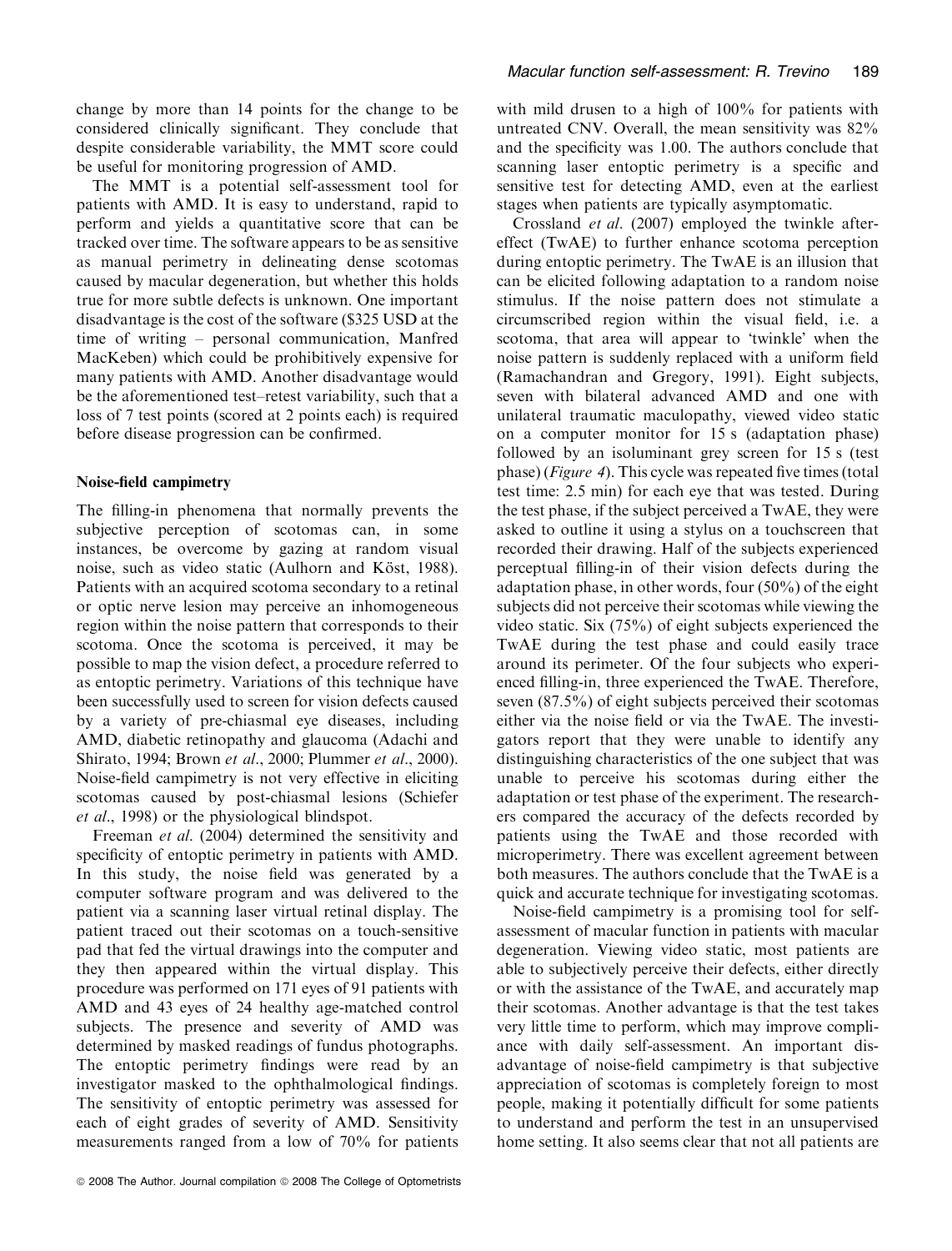change by more than 14 points for the change to be considered clinically significant. They conclude that despite considerable variability, the MMT score could be useful for monitoring progression of AMD.

The MMT is a potential self-assessment tool for patients with AMD. It is easy to understand, rapid to perform and yields a quantitative score that can be tracked over time. The software appears to be as sensitive as manual perimetry in delineating dense scotomas caused by macular degeneration, but whether this holds true for more subtle defects is unknown. One important disadvantage is the cost of the software (\$325 USD at the time of writing – personal communication, Manfred MacKeben) which could be prohibitively expensive for many patients with AMD. Another disadvantage would be the aforementioned test–retest variability, such that a loss of 7 test points (scored at 2 points each) is required before disease progression can be confirmed.

## Noise-field campimetry

The filling-in phenomena that normally prevents the subjective perception of scotomas can, in some instances, be overcome by gazing at random visual noise, such as video static (Aulhorn and Köst, 1988). Patients with an acquired scotoma secondary to a retinal or optic nerve lesion may perceive an inhomogeneous region within the noise pattern that corresponds to their scotoma. Once the scotoma is perceived, it may be possible to map the vision defect, a procedure referred to as entoptic perimetry. Variations of this technique have been successfully used to screen for vision defects caused by a variety of pre-chiasmal eye diseases, including AMD, diabetic retinopathy and glaucoma (Adachi and Shirato, 1994; Brown et al., 2000; Plummer et al., 2000). Noise-field campimetry is not very effective in eliciting scotomas caused by post-chiasmal lesions (Schiefer et al., 1998) or the physiological blindspot.

Freeman et al. (2004) determined the sensitivity and specificity of entoptic perimetry in patients with AMD. In this study, the noise field was generated by a computer software program and was delivered to the patient via a scanning laser virtual retinal display. The patient traced out their scotomas on a touch-sensitive pad that fed the virtual drawings into the computer and they then appeared within the virtual display. This procedure was performed on 171 eyes of 91 patients with AMD and 43 eyes of 24 healthy age-matched control subjects. The presence and severity of AMD was determined by masked readings of fundus photographs. The entoptic perimetry findings were read by an investigator masked to the ophthalmological findings. The sensitivity of entoptic perimetry was assessed for each of eight grades of severity of AMD. Sensitivity measurements ranged from a low of 70% for patients with mild drusen to a high of 100% for patients with untreated CNV. Overall, the mean sensitivity was 82% and the specificity was 1.00. The authors conclude that scanning laser entoptic perimetry is a specific and sensitive test for detecting AMD, even at the earliest stages when patients are typically asymptomatic.

Crossland et al. (2007) employed the twinkle aftereffect (TwAE) to further enhance scotoma perception during entoptic perimetry. The TwAE is an illusion that can be elicited following adaptation to a random noise stimulus. If the noise pattern does not stimulate a circumscribed region within the visual field, i.e. a scotoma, that area will appear to 'twinkle' when the noise pattern is suddenly replaced with a uniform field (Ramachandran and Gregory, 1991). Eight subjects, seven with bilateral advanced AMD and one with unilateral traumatic maculopathy, viewed video static on a computer monitor for 15 s (adaptation phase) followed by an isoluminant grey screen for 15 s (test phase) (Figure 4). This cycle was repeated five times (total test time: 2.5 min) for each eye that was tested. During the test phase, if the subject perceived a TwAE, they were asked to outline it using a stylus on a touchscreen that recorded their drawing. Half of the subjects experienced perceptual filling-in of their vision defects during the adaptation phase, in other words, four (50%) of the eight subjects did not perceive their scotomas while viewing the video static. Six (75%) of eight subjects experienced the TwAE during the test phase and could easily trace around its perimeter. Of the four subjects who experienced filling-in, three experienced the TwAE. Therefore, seven (87.5%) of eight subjects perceived their scotomas either via the noise field or via the TwAE. The investigators report that they were unable to identify any distinguishing characteristics of the one subject that was unable to perceive his scotomas during either the adaptation or test phase of the experiment. The researchers compared the accuracy of the defects recorded by patients using the TwAE and those recorded with microperimetry. There was excellent agreement between both measures. The authors conclude that the TwAE is a quick and accurate technique for investigating scotomas.

Noise-field campimetry is a promising tool for selfassessment of macular function in patients with macular degeneration. Viewing video static, most patients are able to subjectively perceive their defects, either directly or with the assistance of the TwAE, and accurately map their scotomas. Another advantage is that the test takes very little time to perform, which may improve compliance with daily self-assessment. An important disadvantage of noise-field campimetry is that subjective appreciation of scotomas is completely foreign to most people, making it potentially difficult for some patients to understand and perform the test in an unsupervised home setting. It also seems clear that not all patients are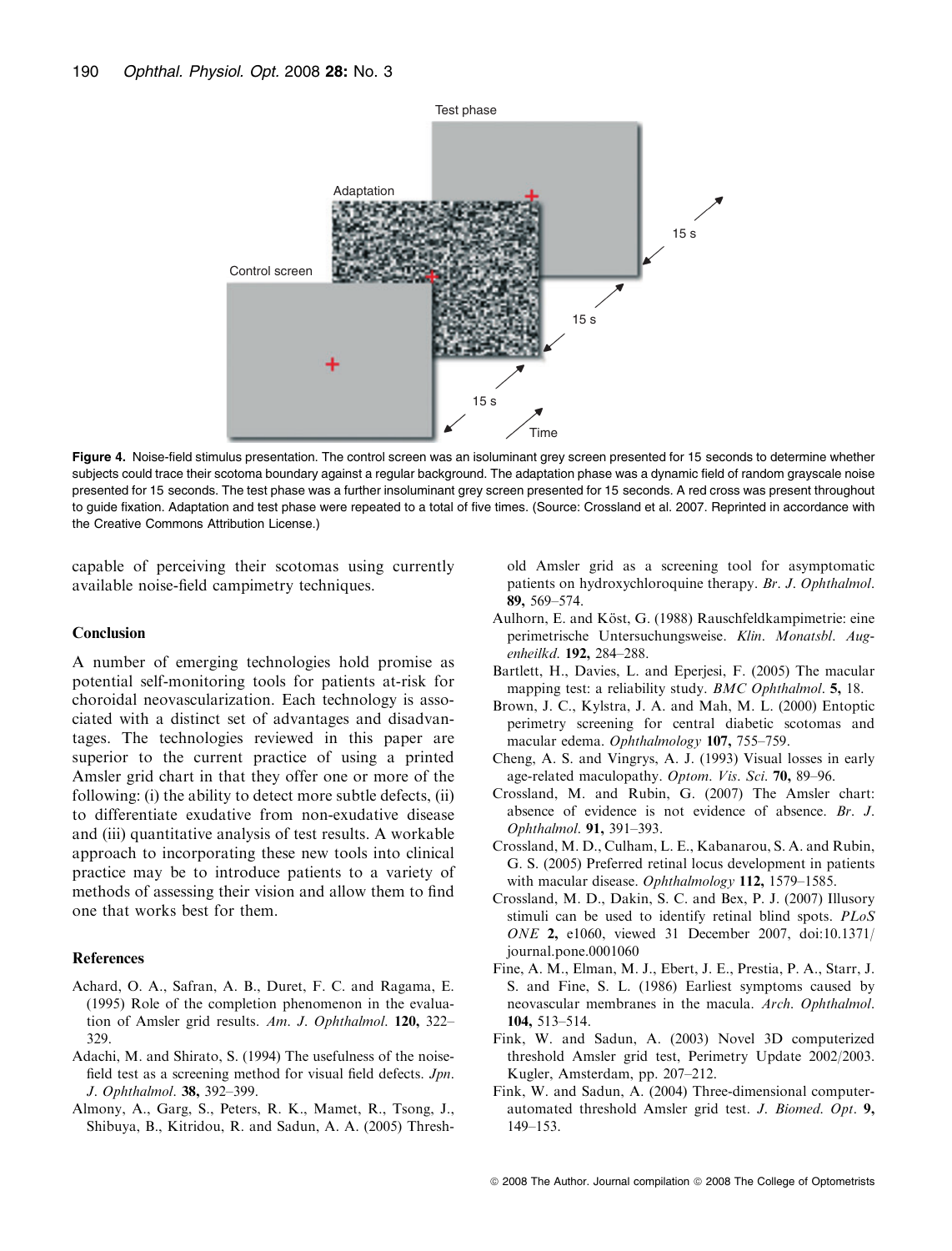

Figure 4. Noise-field stimulus presentation. The control screen was an isoluminant grey screen presented for 15 seconds to determine whether subjects could trace their scotoma boundary against a regular background. The adaptation phase was a dynamic field of random grayscale noise presented for 15 seconds. The test phase was a further insoluminant grey screen presented for 15 seconds. A red cross was present throughout to guide fixation. Adaptation and test phase were repeated to a total of five times. (Source: Crossland et al. 2007. Reprinted in accordance with the Creative Commons Attribution License.)

capable of perceiving their scotomas using currently available noise-field campimetry techniques.

#### Conclusion

A number of emerging technologies hold promise as potential self-monitoring tools for patients at-risk for choroidal neovascularization. Each technology is associated with a distinct set of advantages and disadvantages. The technologies reviewed in this paper are superior to the current practice of using a printed Amsler grid chart in that they offer one or more of the following: (i) the ability to detect more subtle defects, (ii) to differentiate exudative from non-exudative disease and (iii) quantitative analysis of test results. A workable approach to incorporating these new tools into clinical practice may be to introduce patients to a variety of methods of assessing their vision and allow them to find one that works best for them.

#### References

- Achard, O. A., Safran, A. B., Duret, F. C. and Ragama, E. (1995) Role of the completion phenomenon in the evaluation of Amsler grid results. Am. J. Ophthalmol. 120, 322– 329.
- Adachi, M. and Shirato, S. (1994) The usefulness of the noisefield test as a screening method for visual field defects. Jpn. J. Ophthalmol. 38, 392–399.
- Almony, A., Garg, S., Peters, R. K., Mamet, R., Tsong, J., Shibuya, B., Kitridou, R. and Sadun, A. A. (2005) Thresh-

old Amsler grid as a screening tool for asymptomatic patients on hydroxychloroquine therapy. Br. J. Ophthalmol. 89, 569–574.

- Aulhorn, E. and Köst, G. (1988) Rauschfeldkampimetrie: eine perimetrische Untersuchungsweise. Klin. Monatsbl. Augenheilkd. 192, 284–288.
- Bartlett, H., Davies, L. and Eperjesi, F. (2005) The macular mapping test: a reliability study. BMC Ophthalmol. 5, 18.
- Brown, J. C., Kylstra, J. A. and Mah, M. L. (2000) Entoptic perimetry screening for central diabetic scotomas and macular edema. Ophthalmology 107, 755–759.
- Cheng, A. S. and Vingrys, A. J. (1993) Visual losses in early age-related maculopathy. Optom. Vis. Sci. 70, 89–96.
- Crossland, M. and Rubin, G. (2007) The Amsler chart: absence of evidence is not evidence of absence. Br. J. Ophthalmol. 91, 391–393.
- Crossland, M. D., Culham, L. E., Kabanarou, S. A. and Rubin, G. S. (2005) Preferred retinal locus development in patients with macular disease. Ophthalmology 112, 1579-1585.
- Crossland, M. D., Dakin, S. C. and Bex, P. J. (2007) Illusory stimuli can be used to identify retinal blind spots. PLoS ONE 2, e1060, viewed 31 December 2007, doi:10.1371/ journal.pone.0001060
- Fine, A. M., Elman, M. J., Ebert, J. E., Prestia, P. A., Starr, J. S. and Fine, S. L. (1986) Earliest symptoms caused by neovascular membranes in the macula. Arch. Ophthalmol. 104, 513–514.
- Fink, W. and Sadun, A. (2003) Novel 3D computerized threshold Amsler grid test, Perimetry Update 2002/2003. Kugler, Amsterdam, pp. 207–212.
- Fink, W. and Sadun, A. (2004) Three-dimensional computerautomated threshold Amsler grid test. J. Biomed. Opt. 9, 149–153.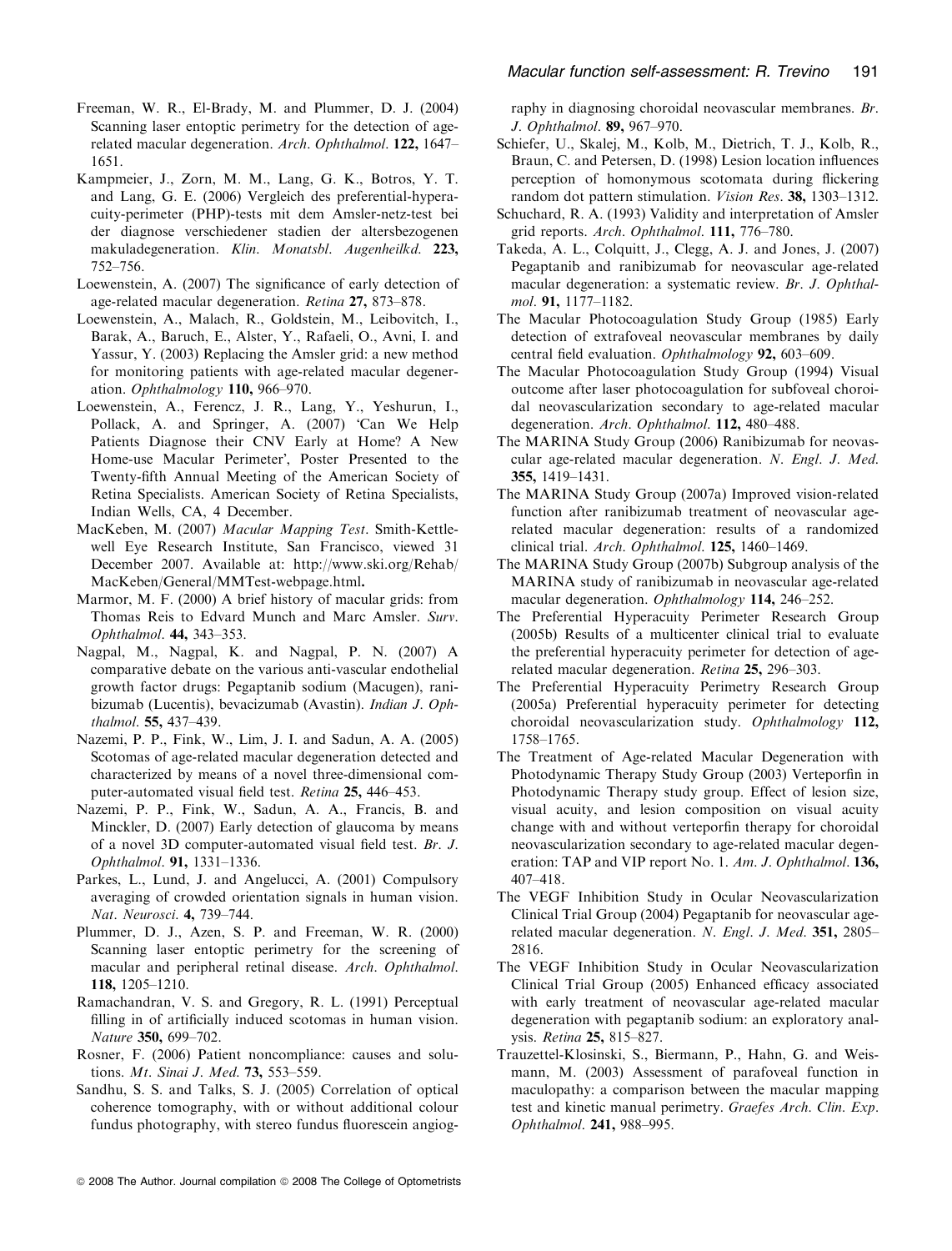- Freeman, W. R., El-Brady, M. and Plummer, D. J. (2004) Scanning laser entoptic perimetry for the detection of agerelated macular degeneration. Arch. Ophthalmol. 122, 1647– 1651.
- Kampmeier, J., Zorn, M. M., Lang, G. K., Botros, Y. T. and Lang, G. E. (2006) Vergleich des preferential-hyperacuity-perimeter (PHP)-tests mit dem Amsler-netz-test bei der diagnose verschiedener stadien der altersbezogenen makuladegeneration. Klin. Monatsbl. Augenheilkd. 223, 752–756.
- Loewenstein, A. (2007) The significance of early detection of age-related macular degeneration. Retina 27, 873–878.
- Loewenstein, A., Malach, R., Goldstein, M., Leibovitch, I., Barak, A., Baruch, E., Alster, Y., Rafaeli, O., Avni, I. and Yassur, Y. (2003) Replacing the Amsler grid: a new method for monitoring patients with age-related macular degeneration. Ophthalmology 110, 966–970.
- Loewenstein, A., Ferencz, J. R., Lang, Y., Yeshurun, I., Pollack, A. and Springer, A. (2007) 'Can We Help Patients Diagnose their CNV Early at Home? A New Home-use Macular Perimeter', Poster Presented to the Twenty-fifth Annual Meeting of the American Society of Retina Specialists. American Society of Retina Specialists, Indian Wells, CA, 4 December.
- MacKeben, M. (2007) Macular Mapping Test. Smith-Kettlewell Eye Research Institute, San Francisco, viewed 31 December 2007. Available at: http://www.ski.org/Rehab/ MacKeben/General/MMTest-webpage.html.
- Marmor, M. F. (2000) A brief history of macular grids: from Thomas Reis to Edvard Munch and Marc Amsler. Surv. Ophthalmol. 44, 343–353.
- Nagpal, M., Nagpal, K. and Nagpal, P. N. (2007) A comparative debate on the various anti-vascular endothelial growth factor drugs: Pegaptanib sodium (Macugen), ranibizumab (Lucentis), bevacizumab (Avastin). Indian J. Ophthalmol. 55, 437–439.
- Nazemi, P. P., Fink, W., Lim, J. I. and Sadun, A. A. (2005) Scotomas of age-related macular degeneration detected and characterized by means of a novel three-dimensional computer-automated visual field test. Retina 25, 446–453.
- Nazemi, P. P., Fink, W., Sadun, A. A., Francis, B. and Minckler, D. (2007) Early detection of glaucoma by means of a novel 3D computer-automated visual field test. Br. J. Ophthalmol. 91, 1331–1336.
- Parkes, L., Lund, J. and Angelucci, A. (2001) Compulsory averaging of crowded orientation signals in human vision. Nat. Neurosci. 4, 739–744.
- Plummer, D. J., Azen, S. P. and Freeman, W. R. (2000) Scanning laser entoptic perimetry for the screening of macular and peripheral retinal disease. Arch. Ophthalmol. 118, 1205–1210.
- Ramachandran, V. S. and Gregory, R. L. (1991) Perceptual filling in of artificially induced scotomas in human vision. Nature 350, 699-702.
- Rosner, F. (2006) Patient noncompliance: causes and solutions. Mt. Sinai J. Med. 73, 553–559.
- Sandhu, S. S. and Talks, S. J. (2005) Correlation of optical coherence tomography, with or without additional colour fundus photography, with stereo fundus fluorescein angiog-

raphy in diagnosing choroidal neovascular membranes. Br. J. Ophthalmol. 89, 967–970.

- Schiefer, U., Skalej, M., Kolb, M., Dietrich, T. J., Kolb, R., Braun, C. and Petersen, D. (1998) Lesion location influences perception of homonymous scotomata during flickering random dot pattern stimulation. Vision Res. 38, 1303–1312.
- Schuchard, R. A. (1993) Validity and interpretation of Amsler grid reports. Arch. Ophthalmol. 111, 776–780.
- Takeda, A. L., Colquitt, J., Clegg, A. J. and Jones, J. (2007) Pegaptanib and ranibizumab for neovascular age-related macular degeneration: a systematic review. Br. J. Ophthalmol. 91, 1177–1182.
- The Macular Photocoagulation Study Group (1985) Early detection of extrafoveal neovascular membranes by daily central field evaluation. Ophthalmology 92, 603–609.
- The Macular Photocoagulation Study Group (1994) Visual outcome after laser photocoagulation for subfoveal choroidal neovascularization secondary to age-related macular degeneration. Arch. Ophthalmol. 112, 480–488.
- The MARINA Study Group (2006) Ranibizumab for neovascular age-related macular degeneration. N. Engl. J. Med. 355, 1419–1431.
- The MARINA Study Group (2007a) Improved vision-related function after ranibizumab treatment of neovascular agerelated macular degeneration: results of a randomized clinical trial. Arch. Ophthalmol. 125, 1460–1469.
- The MARINA Study Group (2007b) Subgroup analysis of the MARINA study of ranibizumab in neovascular age-related macular degeneration. Ophthalmology 114, 246–252.
- The Preferential Hyperacuity Perimeter Research Group (2005b) Results of a multicenter clinical trial to evaluate the preferential hyperacuity perimeter for detection of agerelated macular degeneration. Retina 25, 296–303.
- The Preferential Hyperacuity Perimetry Research Group (2005a) Preferential hyperacuity perimeter for detecting choroidal neovascularization study. Ophthalmology 112, 1758–1765.
- The Treatment of Age-related Macular Degeneration with Photodynamic Therapy Study Group (2003) Verteporfin in Photodynamic Therapy study group. Effect of lesion size, visual acuity, and lesion composition on visual acuity change with and without verteporfin therapy for choroidal neovascularization secondary to age-related macular degeneration: TAP and VIP report No. 1. Am. J. Ophthalmol. 136, 407–418.
- The VEGF Inhibition Study in Ocular Neovascularization Clinical Trial Group (2004) Pegaptanib for neovascular agerelated macular degeneration. N. Engl. J. Med. 351, 2805– 2816.
- The VEGF Inhibition Study in Ocular Neovascularization Clinical Trial Group (2005) Enhanced efficacy associated with early treatment of neovascular age-related macular degeneration with pegaptanib sodium: an exploratory analysis. Retina 25, 815–827.
- Trauzettel-Klosinski, S., Biermann, P., Hahn, G. and Weismann, M. (2003) Assessment of parafoveal function in maculopathy: a comparison between the macular mapping test and kinetic manual perimetry. Graefes Arch. Clin. Exp. Ophthalmol. 241, 988–995.